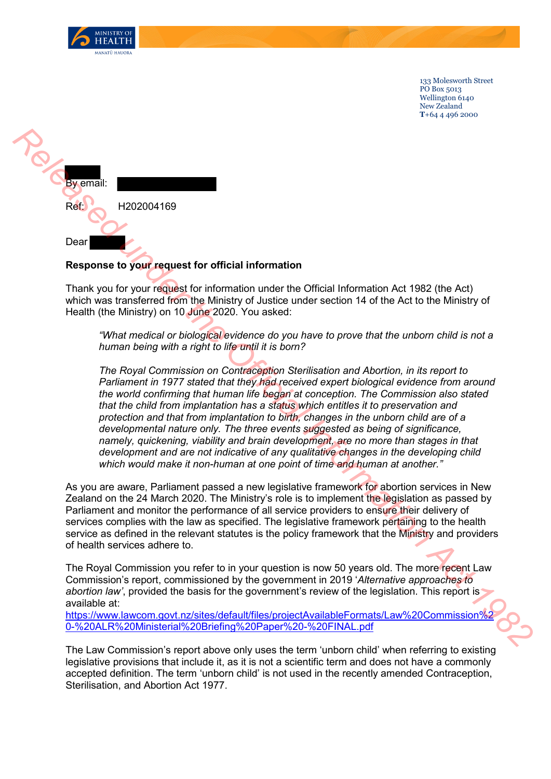

133 Molesworth Street PO Box 5013 Wellington 6140 New Zealand **T**+64 4 496 2000



## **Response to your request for official information**

Thank you for your request for information under the Official Information Act 1982 (the Act) which was transferred from the Ministry of Justice under section 14 of the Act to the Ministry of Health (the Ministry) on 10 June 2020. You asked:

*"What medical or biological evidence do you have to prove that the unborn child is not a human being with a right to life until it is born?*

*The Royal Commission on Contraception Sterilisation and Abortion, in its report to Parliament in 1977 stated that they had received expert biological evidence from around the world confirming that human life began at conception. The Commission also stated that the child from implantation has a status which entitles it to preservation and protection and that from implantation to birth, changes in the unborn child are of a developmental nature only. The three events suggested as being of significance, namely, quickening, viability and brain development, are no more than stages in that development and are not indicative of any qualitative changes in the developing child which would make it non-human at one point of time and human at another."* **Refluxed the Configuration of Controller Controller Controller Controller Controller Controller Controller Controller Controller Controller Controller Controller Controller Controller Controller Controller Controller Cont** 

As you are aware, Parliament passed a new legislative framework for abortion services in New Zealand on the 24 March 2020. The Ministry's role is to implement the legislation as passed by Parliament and monitor the performance of all service providers to ensure their delivery of services complies with the law as specified. The legislative framework pertaining to the health service as defined in the relevant statutes is the policy framework that the Ministry and providers of health services adhere to.

The Royal Commission you refer to in your question is now 50 years old. The more recent Law Commission's report, commissioned by the government in 2019 '*Alternative approaches to abortion law'*, provided the basis for the government's review of the legislation. This report is available at:

https://www.lawcom.govt.nz/sites/default/files/projectAvailableFormats/Law%20Commission%2 0-%20ALR%20Ministerial%20Briefing%20Paper%20-%20FINAL.pdf

The Law Commission's report above only uses the term 'unborn child' when referring to existing legislative provisions that include it, as it is not a scientific term and does not have a commonly accepted definition. The term 'unborn child' is not used in the recently amended Contraception, Sterilisation, and Abortion Act 1977.